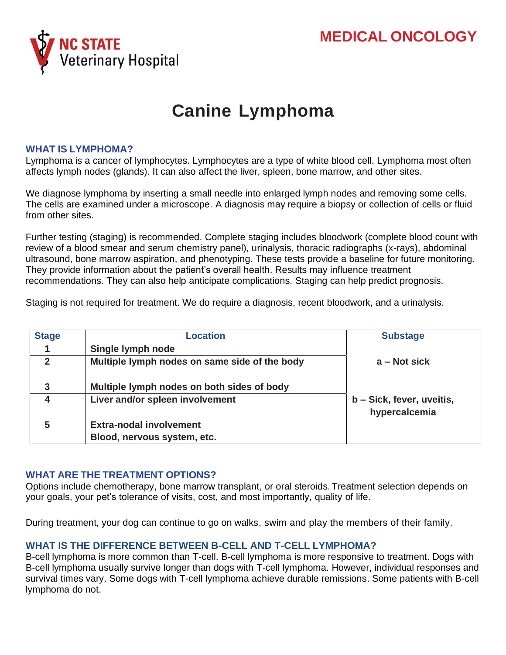

# **Canine Lymphoma**

#### **WHAT IS LYMPHOMA?**

Lymphoma is a cancer of lymphocytes. Lymphocytes are a type of white blood cell. Lymphoma most often affects lymph nodes (glands). It can also affect the liver, spleen, bone marrow, and other sites.

We diagnose lymphoma by inserting a small needle into enlarged lymph nodes and removing some cells. The cells are examined under a microscope. A diagnosis may require a biopsy or collection of cells or fluid from other sites.

Further testing (staging) is recommended. Complete staging includes bloodwork (complete blood count with review of a blood smear and serum chemistry panel), urinalysis, thoracic radiographs (x-rays), abdominal ultrasound, bone marrow aspiration, and phenotyping. These tests provide a baseline for future monitoring. They provide information about the patient's overall health. Results may influence treatment recommendations. They can also help anticipate complications. Staging can help predict prognosis.

Staging is not required for treatment. We do require a diagnosis, recent bloodwork, and a urinalysis.

| <b>Stage</b> | <b>Location</b>                               | <b>Substage</b>                            |
|--------------|-----------------------------------------------|--------------------------------------------|
|              | Single lymph node                             |                                            |
| $\mathbf{c}$ | Multiple lymph nodes on same side of the body | $a - Not sick$                             |
| 3            | Multiple lymph nodes on both sides of body    |                                            |
|              | Liver and/or spleen involvement               | b - Sick, fever, uveitis,<br>hypercalcemia |
| 5            | <b>Extra-nodal involvement</b>                |                                            |
|              | Blood, nervous system, etc.                   |                                            |

#### **WHAT ARE THE TREATMENT OPTIONS?**

Options include chemotherapy, bone marrow transplant, or oral steroids. Treatment selection depends on your goals, your pet's tolerance of visits, cost, and most importantly, quality of life.

During treatment, your dog can continue to go on walks, swim and play the members of their family.

### **WHAT IS THE DIFFERENCE BETWEEN B-CELL AND T-CELL LYMPHOMA?**

B-cell lymphoma is more common than T-cell. B-cell lymphoma is more responsive to treatment. Dogs with B-cell lymphoma usually survive longer than dogs with T-cell lymphoma. However, individual responses and survival times vary. Some dogs with T-cell lymphoma achieve durable remissions. Some patients with B-cell lymphoma do not.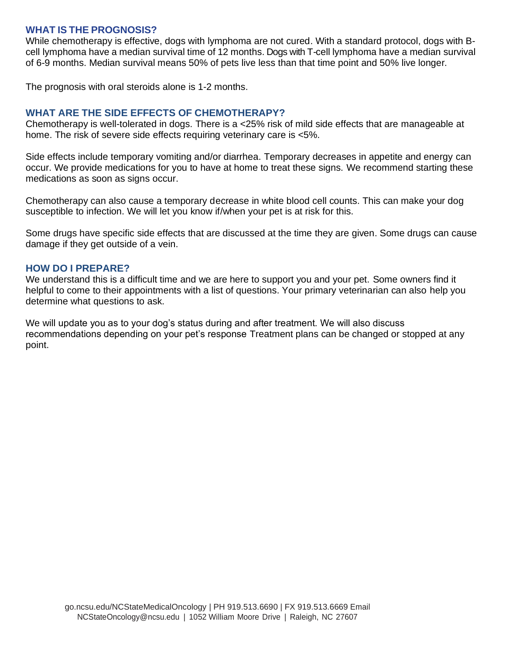#### **WHAT IS THE PROGNOSIS?**

While chemotherapy is effective, dogs with lymphoma are not cured. With a standard protocol, dogs with Bcell lymphoma have a median survival time of 12 months. Dogs with T-cell lymphoma have a median survival of 6-9 months. Median survival means 50% of pets live less than that time point and 50% live longer.

The prognosis with oral steroids alone is 1-2 months.

#### **WHAT ARE THE SIDE EFFECTS OF CHEMOTHERAPY?**

Chemotherapy is well-tolerated in dogs. There is a <25% risk of mild side effects that are manageable at home. The risk of severe side effects requiring veterinary care is <5%.

Side effects include temporary vomiting and/or diarrhea. Temporary decreases in appetite and energy can occur. We provide medications for you to have at home to treat these signs. We recommend starting these medications as soon as signs occur.

Chemotherapy can also cause a temporary decrease in white blood cell counts. This can make your dog susceptible to infection. We will let you know if/when your pet is at risk for this.

Some drugs have specific side effects that are discussed at the time they are given. Some drugs can cause damage if they get outside of a vein.

#### **HOW DO I PREPARE?**

We understand this is a difficult time and we are here to support you and your pet. Some owners find it helpful to come to their appointments with a list of questions. Your primary veterinarian can also help you determine what questions to ask.

We will update you as to your dog's status during and after treatment. We will also discuss recommendations depending on your pet's response Treatment plans can be changed or stopped at any point.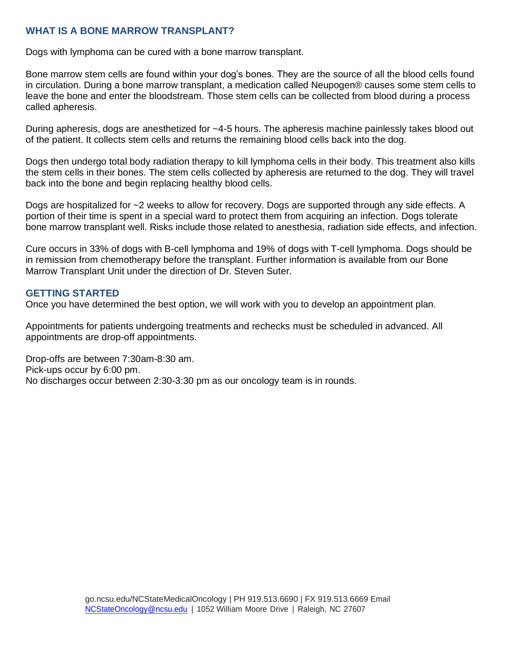## **WHAT IS A BONE MARROW TRANSPLANT?**

Dogs with lymphoma can be cured with a bone marrow transplant.

Bone marrow stem cells are found within your dog's bones. They are the source of all the blood cells found in circulation. During a bone marrow transplant, a medication called Neupogen® causes some stem cells to leave the bone and enter the bloodstream. Those stem cells can be collected from blood during a process called apheresis.

During apheresis, dogs are anesthetized for ~4-5 hours. The apheresis machine painlessly takes blood out of the patient. It collects stem cells and returns the remaining blood cells back into the dog.

Dogs then undergo total body radiation therapy to kill lymphoma cells in their body. This treatment also kills the stem cells in their bones. The stem cells collected by apheresis are returned to the dog. They will travel back into the bone and begin replacing healthy blood cells.

Dogs are hospitalized for ~2 weeks to allow for recovery. Dogs are supported through any side effects. A portion of their time is spent in a special ward to protect them from acquiring an infection. Dogs tolerate bone marrow transplant well. Risks include those related to anesthesia, radiation side effects, and infection.

Cure occurs in 33% of dogs with B-cell lymphoma and 19% of dogs with T-cell lymphoma. Dogs should be in remission from chemotherapy before the transplant. Further information is available from our Bone Marrow Transplant Unit under the direction of Dr. Steven Suter.

#### **GETTING STARTED**

Once you have determined the best option, we will work with you to develop an appointment plan.

Appointments for patients undergoing treatments and rechecks must be scheduled in advanced. All appointments are drop-off appointments.

Drop-offs are between 7:30am-8:30 am. Pick-ups occur by 6:00 pm. No discharges occur between 2:30-3:30 pm as our oncology team is in rounds.